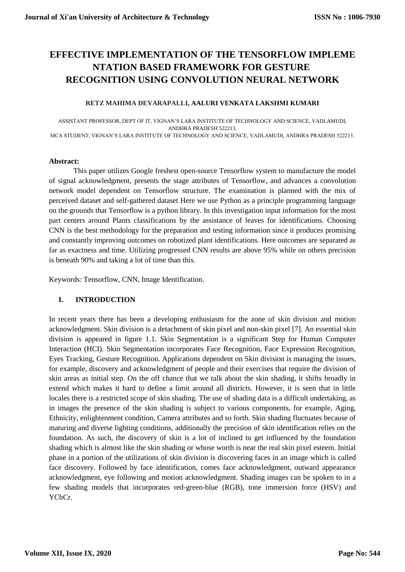# **EFFECTIVE IMPLEMENTATION OF THE TENSORFLOW IMPLEME NTATION BASED FRAMEWORK FOR GESTURE RECOGNITION USING CONVOLUTION NEURAL NETWORK**

#### **RETZ MAHIMA DEVARAPALLI, AALURI VENKATA LAKSHMI KUMARI**

ASSISTANT PROFESSOR, DEPT OF IT, VIGNAN'S LARA INSTITUTE OF TECHNOLOGY AND SCIENCE, VADLAMUDI, ANDHRA PRADESH 522213. MCA STUDENT, VIGNAN'S LARA INSTITUTE OF TECHNOLOGY AND SCIENCE, VADLAMUDI, ANDHRA PRADESH 522213.

#### **Abstract:**

This paper utilizes Google freshest open-source Tensorflow system to manufacture the model of signal acknowledgment, presents the stage attributes of Tensorflow, and advances a convolution network model dependent on Tensorflow structure. The examination is planned with the mix of perceived dataset and self-gathered dataset Here we use Python as a principle programming language on the grounds that Tensorflow is a python library. In this investigation input information for the most part centers around Plants classifications by the assistance of leaves for identifications. Choosing CNN is the best methodology for the preparation and testing information since it produces promising and constantly improving outcomes on robotized plant identifications. Here outcomes are separated as far as exactness and time. Utilizing progressed CNN results are above 95% while on others precision is beneath 90% and taking a lot of time than this.

Keywords: Tensorflow, CNN, Image Identification.

#### **I. INTRODUCTION**

In recent years there has been a developing enthusiasm for the zone of skin division and motion acknowledgment. Skin division is a detachment of skin pixel and non-skin pixel [7]. An essential skin division is appeared in figure 1.1. Skin Segmentation is a significant Step for Human Computer Interaction (HCI). Skin Segmentation incorporates Face Recognition, Face Expression Recognition, Eyes Tracking, Gesture Recognition. Applications dependent on Skin division is managing the issues, for example, discovery and acknowledgment of people and their exercises that require the division of skin areas as initial step. On the off chance that we talk about the skin shading, it shifts broadly in extend which makes it hard to define a limit around all districts. However, it is seen that in little locales there is a restricted scope of skin shading. The use of shading data is a difficult undertaking, as in images the presence of the skin shading is subject to various components, for example, Aging, Ethnicity, enlightenment condition, Camera attributes and so forth. Skin shading fluctuates because of maturing and diverse lighting conditions, additionally the precision of skin identification relies on the foundation. As such, the discovery of skin is a lot of inclined to get influenced by the foundation shading which is almost like the skin shading or whose worth is near the real skin pixel esteem. Initial phase in a portion of the utilizations of skin division is discovering faces in an image which is called face discovery. Followed by face identification, comes face acknowledgment, outward appearance acknowledgment, eye following and motion acknowledgment. Shading images can be spoken to in a few shading models that incorporates red-green-blue (RGB), tone immersion force (HSV) and YCbCr.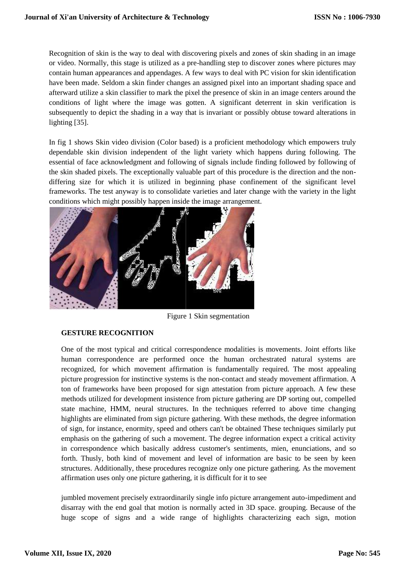Recognition of skin is the way to deal with discovering pixels and zones of skin shading in an image or video. Normally, this stage is utilized as a pre-handling step to discover zones where pictures may contain human appearances and appendages. A few ways to deal with PC vision for skin identification have been made. Seldom a skin finder changes an assigned pixel into an important shading space and afterward utilize a skin classifier to mark the pixel the presence of skin in an image centers around the conditions of light where the image was gotten. A significant deterrent in skin verification is subsequently to depict the shading in a way that is invariant or possibly obtuse toward alterations in lighting [35].

In fig 1 shows Skin video division (Color based) is a proficient methodology which empowers truly dependable skin division independent of the light variety which happens during following. The essential of face acknowledgment and following of signals include finding followed by following of the skin shaded pixels. The exceptionally valuable part of this procedure is the direction and the nondiffering size for which it is utilized in beginning phase confinement of the significant level frameworks. The test anyway is to consolidate varieties and later change with the variety in the light conditions which might possibly happen inside the image arrangement.



Figure 1 Skin segmentation

## **GESTURE RECOGNITION**

One of the most typical and critical correspondence modalities is movements. Joint efforts like human correspondence are performed once the human orchestrated natural systems are recognized, for which movement affirmation is fundamentally required. The most appealing picture progression for instinctive systems is the non-contact and steady movement affirmation. A ton of frameworks have been proposed for sign attestation from picture approach. A few these methods utilized for development insistence from picture gathering are DP sorting out, compelled state machine, HMM, neural structures. In the techniques referred to above time changing highlights are eliminated from sign picture gathering. With these methods, the degree information of sign, for instance, enormity, speed and others can't be obtained These techniques similarly put emphasis on the gathering of such a movement. The degree information expect a critical activity in correspondence which basically address customer's sentiments, mien, enunciations, and so forth. Thusly, both kind of movement and level of information are basic to be seen by keen structures. Additionally, these procedures recognize only one picture gathering. As the movement affirmation uses only one picture gathering, it is difficult for it to see

jumbled movement precisely extraordinarily single info picture arrangement auto-impediment and disarray with the end goal that motion is normally acted in 3D space. grouping. Because of the huge scope of signs and a wide range of highlights characterizing each sign, motion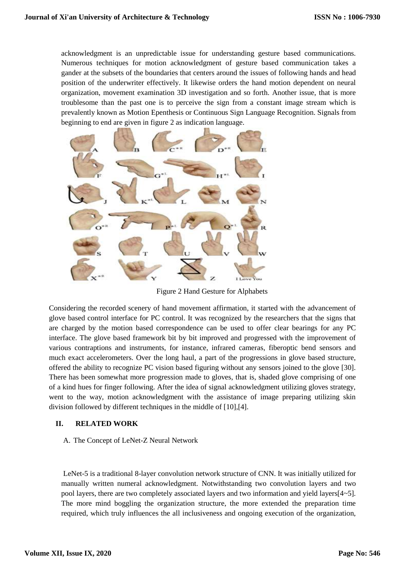acknowledgment is an unpredictable issue for understanding gesture based communications. Numerous techniques for motion acknowledgment of gesture based communication takes a gander at the subsets of the boundaries that centers around the issues of following hands and head position of the underwriter effectively. It likewise orders the hand motion dependent on neural organization, movement examination 3D investigation and so forth. Another issue, that is more troublesome than the past one is to perceive the sign from a constant image stream which is prevalently known as Motion Epenthesis or Continuous Sign Language Recognition. Signals from beginning to end are given in figure 2 as indication language.



Figure 2 Hand Gesture for Alphabets

Considering the recorded scenery of hand movement affirmation, it started with the advancement of glove based control interface for PC control. It was recognized by the researchers that the signs that are charged by the motion based correspondence can be used to offer clear bearings for any PC interface. The glove based framework bit by bit improved and progressed with the improvement of various contraptions and instruments, for instance, infrared cameras, fiberoptic bend sensors and much exact accelerometers. Over the long haul, a part of the progressions in glove based structure, offered the ability to recognize PC vision based figuring without any sensors joined to the glove [30]. There has been somewhat more progression made to gloves, that is, shaded glove comprising of one of a kind hues for finger following. After the idea of signal acknowledgment utilizing gloves strategy, went to the way, motion acknowledgment with the assistance of image preparing utilizing skin division followed by different techniques in the middle of [10],[4].

## **II. RELATED WORK**

A. The Concept of LeNet-Z Neural Network

LeNet-5 is a traditional 8-layer convolution network structure of CNN. It was initially utilized for manually written numeral acknowledgment. Notwithstanding two convolution layers and two pool layers, there are two completely associated layers and two information and yield layers[4~5]. The more mind boggling the organization structure, the more extended the preparation time required, which truly influences the all inclusiveness and ongoing execution of the organization,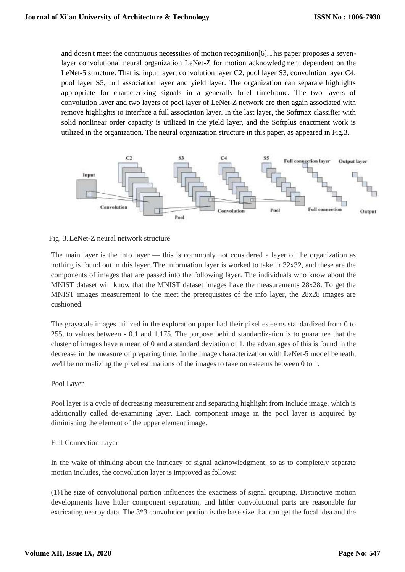and doesn't meet the continuous necessities of motion recognition[6].This paper proposes a sevenlayer convolutional neural organization LeNet-Z for motion acknowledgment dependent on the LeNet-5 structure. That is, input layer, convolution layer C2, pool layer S3, convolution layer C4, pool layer S5, full association layer and yield layer. The organization can separate highlights appropriate for characterizing signals in a generally brief timeframe. The two layers of convolution layer and two layers of pool layer of LeNet-Z network are then again associated with remove highlights to interface a full association layer. In the last layer, the Softmax classifier with solid nonlinear order capacity is utilized in the yield layer, and the Softplus enactment work is utilized in the organization. The neural organization structure in this paper, as appeared in Fig.3.



#### Fig. 3.LeNet-Z neural network structure

The main layer is the info layer — this is commonly not considered a layer of the organization as nothing is found out in this layer. The information layer is worked to take in 32x32, and these are the components of images that are passed into the following layer. The individuals who know about the MNIST dataset will know that the MNIST dataset images have the measurements 28x28. To get the MNIST images measurement to the meet the prerequisites of the info layer, the 28x28 images are cushioned.

The grayscale images utilized in the exploration paper had their pixel esteems standardized from 0 to 255, to values between - 0.1 and 1.175. The purpose behind standardization is to guarantee that the cluster of images have a mean of 0 and a standard deviation of 1, the advantages of this is found in the decrease in the measure of preparing time. In the image characterization with LeNet-5 model beneath, we'll be normalizing the pixel estimations of the images to take on esteems between 0 to 1.

#### Pool Layer

Pool layer is a cycle of decreasing measurement and separating highlight from include image, which is additionally called de-examining layer. Each component image in the pool layer is acquired by diminishing the element of the upper element image.

#### Full Connection Layer

In the wake of thinking about the intricacy of signal acknowledgment, so as to completely separate motion includes, the convolution layer is improved as follows:

(1)The size of convolutional portion influences the exactness of signal grouping. Distinctive motion developments have littler component separation, and littler convolutional parts are reasonable for extricating nearby data. The 3\*3 convolution portion is the base size that can get the focal idea and the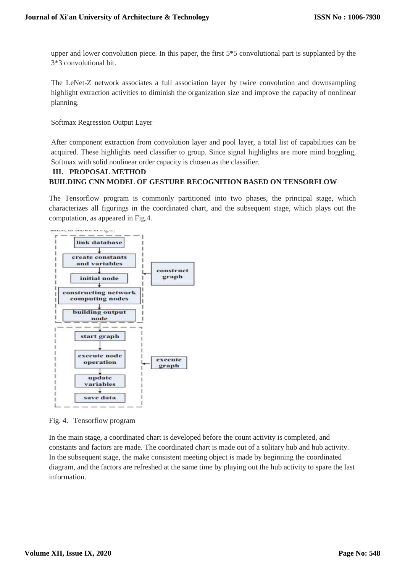upper and lower convolution piece. In this paper, the first 5\*5 convolutional part is supplanted by the 3\*3 convolutional bit.

The LeNet-Z network associates a full association layer by twice convolution and downsampling highlight extraction activities to diminish the organization size and improve the capacity of nonlinear planning.

Softmax Regression Output Layer

After component extraction from convolution layer and pool layer, a total list of capabilities can be acquired. These highlights need classifier to group. Since signal highlights are more mind boggling, Softmax with solid nonlinear order capacity is chosen as the classifier.

# **III. PROPOSAL METHOD BUILDING CNN MODEL OF GESTURE RECOGNITION BASED ON TENSORFLOW**

The Tensorflow program is commonly partitioned into two phases, the principal stage, which characterizes all figurings in the coordinated chart, and the subsequent stage, which plays out the computation, as appeared in Fig.4.



Fig. 4. Tensorflow program

In the main stage, a coordinated chart is developed before the count activity is completed, and constants and factors are made. The coordinated chart is made out of a solitary hub and hub activity. In the subsequent stage, the make consistent meeting object is made by beginning the coordinated diagram, and the factors are refreshed at the same time by playing out the hub activity to spare the last information.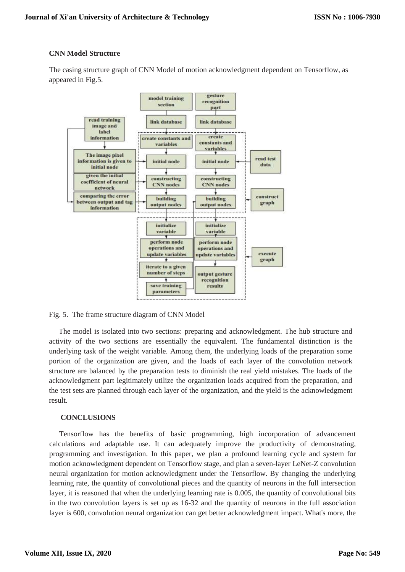#### **CNN Model Structure**

The casing structure graph of CNN Model of motion acknowledgment dependent on Tensorflow, as appeared in Fig.5.



Fig. 5. The frame structure diagram of CNN Model

The model is isolated into two sections: preparing and acknowledgment. The hub structure and activity of the two sections are essentially the equivalent. The fundamental distinction is the underlying task of the weight variable. Among them, the underlying loads of the preparation some portion of the organization are given, and the loads of each layer of the convolution network structure are balanced by the preparation tests to diminish the real yield mistakes. The loads of the acknowledgment part legitimately utilize the organization loads acquired from the preparation, and the test sets are planned through each layer of the organization, and the yield is the acknowledgment result.

#### **CONCLUSIONS**

Tensorflow has the benefits of basic programming, high incorporation of advancement calculations and adaptable use. It can adequately improve the productivity of demonstrating, programming and investigation. In this paper, we plan a profound learning cycle and system for motion acknowledgment dependent on Tensorflow stage, and plan a seven-layer LeNet-Z convolution neural organization for motion acknowledgment under the Tensorflow. By changing the underlying learning rate, the quantity of convolutional pieces and the quantity of neurons in the full intersection layer, it is reasoned that when the underlying learning rate is 0.005, the quantity of convolutional bits in the two convolution layers is set up as 16-32 and the quantity of neurons in the full association layer is 600, convolution neural organization can get better acknowledgment impact. What's more, the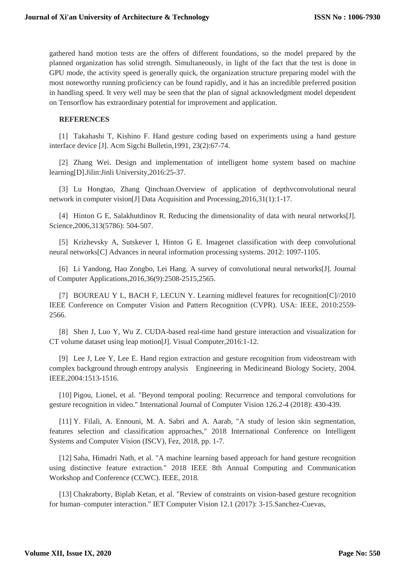gathered hand motion tests are the offers of different foundations, so the model prepared by the planned organization has solid strength. Simultaneously, in light of the fact that the test is done in GPU mode, the activity speed is generally quick, the organization structure preparing model with the most noteworthy running proficiency can be found rapidly, and it has an incredible preferred position in handling speed. It very well may be seen that the plan of signal acknowledgment model dependent on Tensorflow has extraordinary potential for improvement and application.

#### **REFERENCES**

[1] Takahashi T, Kishino F. Hand gesture coding based on experiments using a hand gesture interface device [J]. Acm Sigchi Bulletin,1991, 23(2):67-74.

[2] Zhang Wei. Design and implementation of intelligent home system based on machine learning[D].Jilin:Jinli University,2016:25-37.

[3] Lu Hongtao, Zhang Qinchuan.Overview of application of depthvconvolutional neural network in computer vision[J] Data Acquisition and Processing,2016,31(1):1-17.

[4] Hinton G E, Salakhutdinov R. Reducing the dimensionality of data with neural networks[J]. Science,2006,313(5786): 504-507.

[5] Krizhevsky A, Sutskever I, Hinton G E. Imagenet classification with deep convolutional neural networks[C] Advances in neural information processing systems. 2012: 1097-1105.

[6] Li Yandong, Hao Zongbo, Lei Hang. A survey of convolutional neural networks[J]. Journal of Computer Applications,2016,36(9):2508-2515,2565.

[7] BOUREAU Y L, BACH F, LECUN Y. Learning midlevel features for recognition[C]//2010 IEEE Conference on Computer Vision and Pattern Recognition (CVPR). USA: IEEE, 2010:2559- 2566.

[8] Shen J, Luo Y, Wu Z. CUDA-based real-time hand gesture interaction and visualization for CT volume dataset using leap motion[J]. Visual Computer,2016:1-12.

[9] Lee J, Lee Y, Lee E. Hand region extraction and gesture recognition from videostream with complex background through entropy analysis Engineering in Medicineand Biology Society, 2004. IEEE,2004:1513-1516.

[10] Pigou, Lionel, et al. "Beyond temporal pooling: Recurrence and temporal convolutions for gesture recognition in video." International Journal of Computer Vision 126.2-4 (2018): 430-439.

[11] Y. Filali, A. Ennouni, M. A. Sabri and A. Aarab, "A study of lesion skin segmentation, features selection and classification approaches," 2018 International Conference on Intelligent Systems and Computer Vision (ISCV), Fez, 2018, pp. 1-7.

[12] Saha, Himadri Nath, et al. "A machine learning based approach for hand gesture recognition using distinctive feature extraction." 2018 IEEE 8th Annual Computing and Communication Workshop and Conference (CCWC). IEEE, 2018.

[13] Chakraborty, Biplab Ketan, et al. "Review of constraints on vision-based gesture recognition for human–computer interaction." IET Computer Vision 12.1 (2017): 3-15.Sanchez-Cuevas,